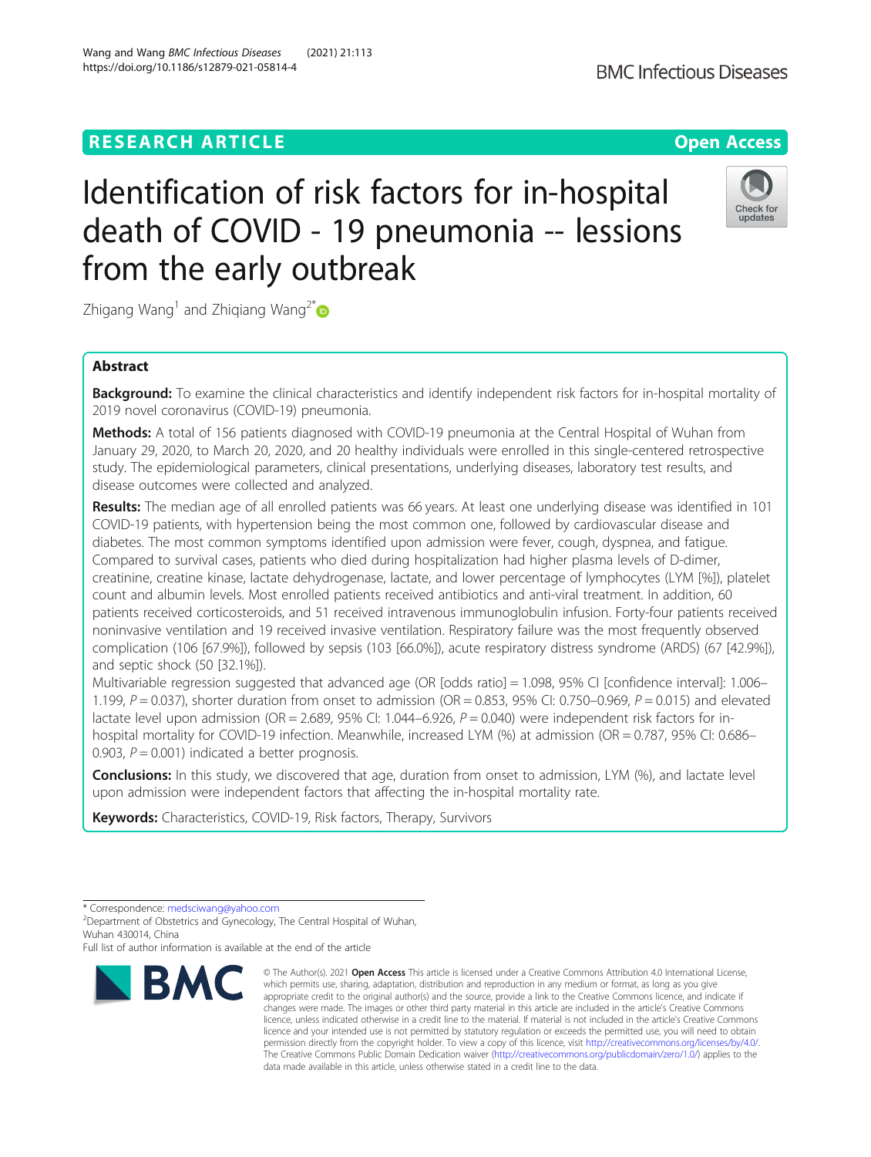# **RESEARCH ARTICLE Example 2014 12:30 The Open Access**

# Identification of risk factors for in-hospital death of COVID - 19 pneumonia -- lessions from the early outbreak

Zhigang Wang<sup>1</sup> and Zhiqiang Wang<sup>2[\\*](http://orcid.org/0000-0001-9344-533X)</sup>

# Abstract

Background: To examine the clinical characteristics and identify independent risk factors for in-hospital mortality of 2019 novel coronavirus (COVID-19) pneumonia.

Methods: A total of 156 patients diagnosed with COVID-19 pneumonia at the Central Hospital of Wuhan from January 29, 2020, to March 20, 2020, and 20 healthy individuals were enrolled in this single-centered retrospective study. The epidemiological parameters, clinical presentations, underlying diseases, laboratory test results, and disease outcomes were collected and analyzed.

Results: The median age of all enrolled patients was 66 years. At least one underlying disease was identified in 101 COVID-19 patients, with hypertension being the most common one, followed by cardiovascular disease and diabetes. The most common symptoms identified upon admission were fever, cough, dyspnea, and fatigue. Compared to survival cases, patients who died during hospitalization had higher plasma levels of D-dimer, creatinine, creatine kinase, lactate dehydrogenase, lactate, and lower percentage of lymphocytes (LYM [%]), platelet count and albumin levels. Most enrolled patients received antibiotics and anti-viral treatment. In addition, 60 patients received corticosteroids, and 51 received intravenous immunoglobulin infusion. Forty-four patients received noninvasive ventilation and 19 received invasive ventilation. Respiratory failure was the most frequently observed complication (106 [67.9%]), followed by sepsis (103 [66.0%]), acute respiratory distress syndrome (ARDS) (67 [42.9%]), and septic shock (50 [32.1%]).

Multivariable regression suggested that advanced age (OR [odds ratio] = 1.098, 95% CI [confidence interval]: 1.006– 1.199,  $P = 0.037$ ), shorter duration from onset to admission (OR = 0.853, 95% CI: 0.750–0.969,  $P = 0.015$ ) and elevated lactate level upon admission (OR = 2.689, 95% CI: 1.044–6.926,  $P = 0.040$ ) were independent risk factors for inhospital mortality for COVID-19 infection. Meanwhile, increased LYM (%) at admission (OR = 0.787, 95% CI: 0.686– 0.903,  $P = 0.001$ ) indicated a better prognosis.

Conclusions: In this study, we discovered that age, duration from onset to admission, LYM (%), and lactate level upon admission were independent factors that affecting the in-hospital mortality rate.

Keywords: Characteristics, COVID-19, Risk factors, Therapy, Survivors

BMC



© The Author(s), 2021 **Open Access** This article is licensed under a Creative Commons Attribution 4.0 International License, which permits use, sharing, adaptation, distribution and reproduction in any medium or format, as long as you give





**BMC Infectious Diseases** 

<sup>\*</sup> Correspondence: [medsciwang@yahoo.com](mailto:medsciwang@yahoo.com) <sup>2</sup>

<sup>&</sup>lt;sup>2</sup>Department of Obstetrics and Gynecology, The Central Hospital of Wuhan, Wuhan 430014, China

Full list of author information is available at the end of the article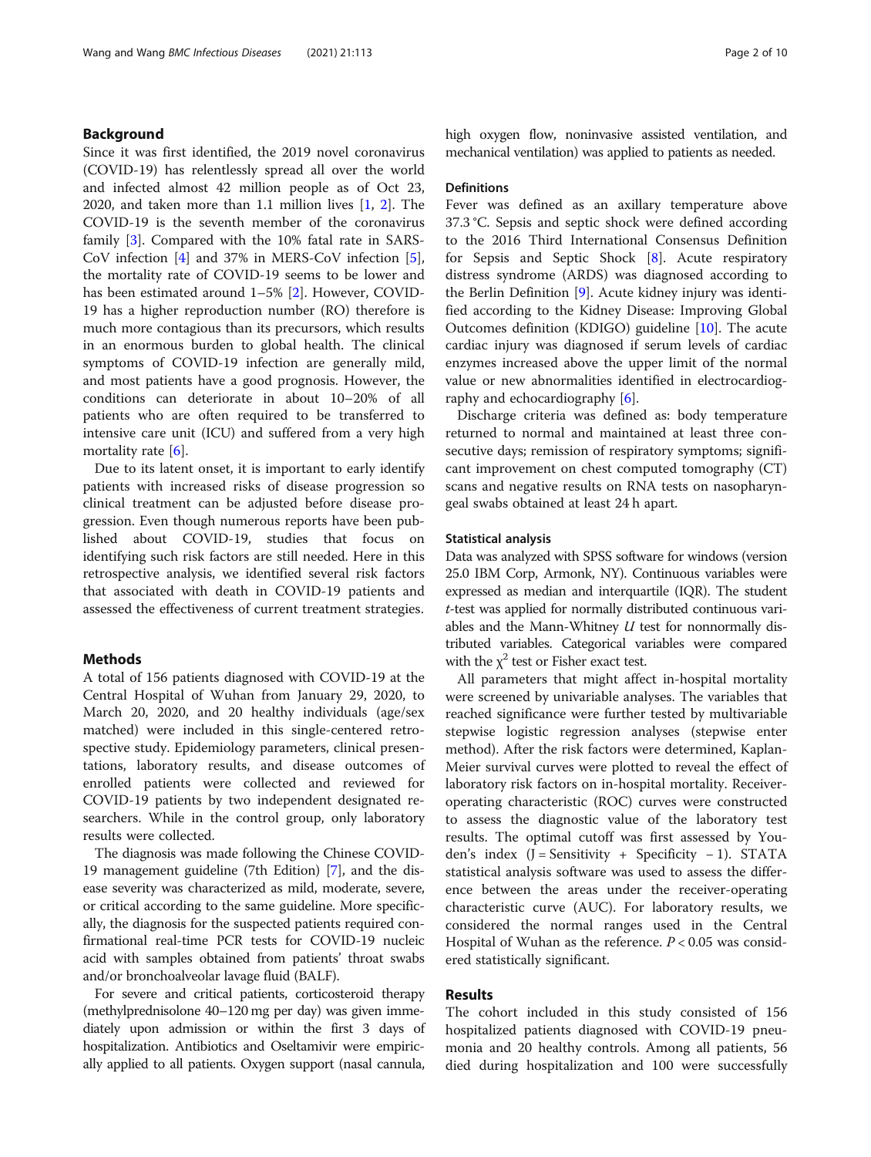# Background

Since it was first identified, the 2019 novel coronavirus (COVID-19) has relentlessly spread all over the world and infected almost 42 million people as of Oct 23, 2020, and taken more than 1.1 million lives [\[1,](#page-8-0) [2\]](#page-8-0). The COVID-19 is the seventh member of the coronavirus family [[3\]](#page-8-0). Compared with the 10% fatal rate in SARS-CoV infection [\[4](#page-8-0)] and 37% in MERS-CoV infection [\[5](#page-8-0)], the mortality rate of COVID-19 seems to be lower and has been estimated around 1–5% [\[2\]](#page-8-0). However, COVID-19 has a higher reproduction number (RO) therefore is much more contagious than its precursors, which results in an enormous burden to global health. The clinical symptoms of COVID-19 infection are generally mild, and most patients have a good prognosis. However, the conditions can deteriorate in about 10–20% of all patients who are often required to be transferred to intensive care unit (ICU) and suffered from a very high mortality rate [[6\]](#page-8-0).

Due to its latent onset, it is important to early identify patients with increased risks of disease progression so clinical treatment can be adjusted before disease progression. Even though numerous reports have been published about COVID-19, studies that focus on identifying such risk factors are still needed. Here in this retrospective analysis, we identified several risk factors that associated with death in COVID-19 patients and assessed the effectiveness of current treatment strategies.

# Methods

A total of 156 patients diagnosed with COVID-19 at the Central Hospital of Wuhan from January 29, 2020, to March 20, 2020, and 20 healthy individuals (age/sex matched) were included in this single-centered retrospective study. Epidemiology parameters, clinical presentations, laboratory results, and disease outcomes of enrolled patients were collected and reviewed for COVID-19 patients by two independent designated researchers. While in the control group, only laboratory results were collected.

The diagnosis was made following the Chinese COVID-19 management guideline (7th Edition) [\[7\]](#page-8-0), and the disease severity was characterized as mild, moderate, severe, or critical according to the same guideline. More specifically, the diagnosis for the suspected patients required confirmational real-time PCR tests for COVID-19 nucleic acid with samples obtained from patients' throat swabs and/or bronchoalveolar lavage fluid (BALF).

For severe and critical patients, corticosteroid therapy (methylprednisolone 40–120 mg per day) was given immediately upon admission or within the first 3 days of hospitalization. Antibiotics and Oseltamivir were empirically applied to all patients. Oxygen support (nasal cannula, high oxygen flow, noninvasive assisted ventilation, and mechanical ventilation) was applied to patients as needed.

#### **Definitions**

Fever was defined as an axillary temperature above 37.3 °C. Sepsis and septic shock were defined according to the 2016 Third International Consensus Definition for Sepsis and Septic Shock [\[8](#page-9-0)]. Acute respiratory distress syndrome (ARDS) was diagnosed according to the Berlin Definition [[9\]](#page-9-0). Acute kidney injury was identified according to the Kidney Disease: Improving Global Outcomes definition (KDIGO) guideline [[10](#page-9-0)]. The acute cardiac injury was diagnosed if serum levels of cardiac enzymes increased above the upper limit of the normal value or new abnormalities identified in electrocardiography and echocardiography [\[6\]](#page-8-0).

Discharge criteria was defined as: body temperature returned to normal and maintained at least three consecutive days; remission of respiratory symptoms; significant improvement on chest computed tomography (CT) scans and negative results on RNA tests on nasopharyngeal swabs obtained at least 24 h apart.

#### Statistical analysis

Data was analyzed with SPSS software for windows (version 25.0 IBM Corp, Armonk, NY). Continuous variables were expressed as median and interquartile (IQR). The student t-test was applied for normally distributed continuous variables and the Mann-Whitney  $U$  test for nonnormally distributed variables. Categorical variables were compared with the  $\chi^2$  test or Fisher exact test.

All parameters that might affect in-hospital mortality were screened by univariable analyses. The variables that reached significance were further tested by multivariable stepwise logistic regression analyses (stepwise enter method). After the risk factors were determined, Kaplan-Meier survival curves were plotted to reveal the effect of laboratory risk factors on in-hospital mortality. Receiveroperating characteristic (ROC) curves were constructed to assess the diagnostic value of the laboratory test results. The optimal cutoff was first assessed by Youden's index (J = Sensitivity + Specificity − 1). STATA statistical analysis software was used to assess the difference between the areas under the receiver-operating characteristic curve (AUC). For laboratory results, we considered the normal ranges used in the Central Hospital of Wuhan as the reference.  $P < 0.05$  was considered statistically significant.

# Results

The cohort included in this study consisted of 156 hospitalized patients diagnosed with COVID-19 pneumonia and 20 healthy controls. Among all patients, 56 died during hospitalization and 100 were successfully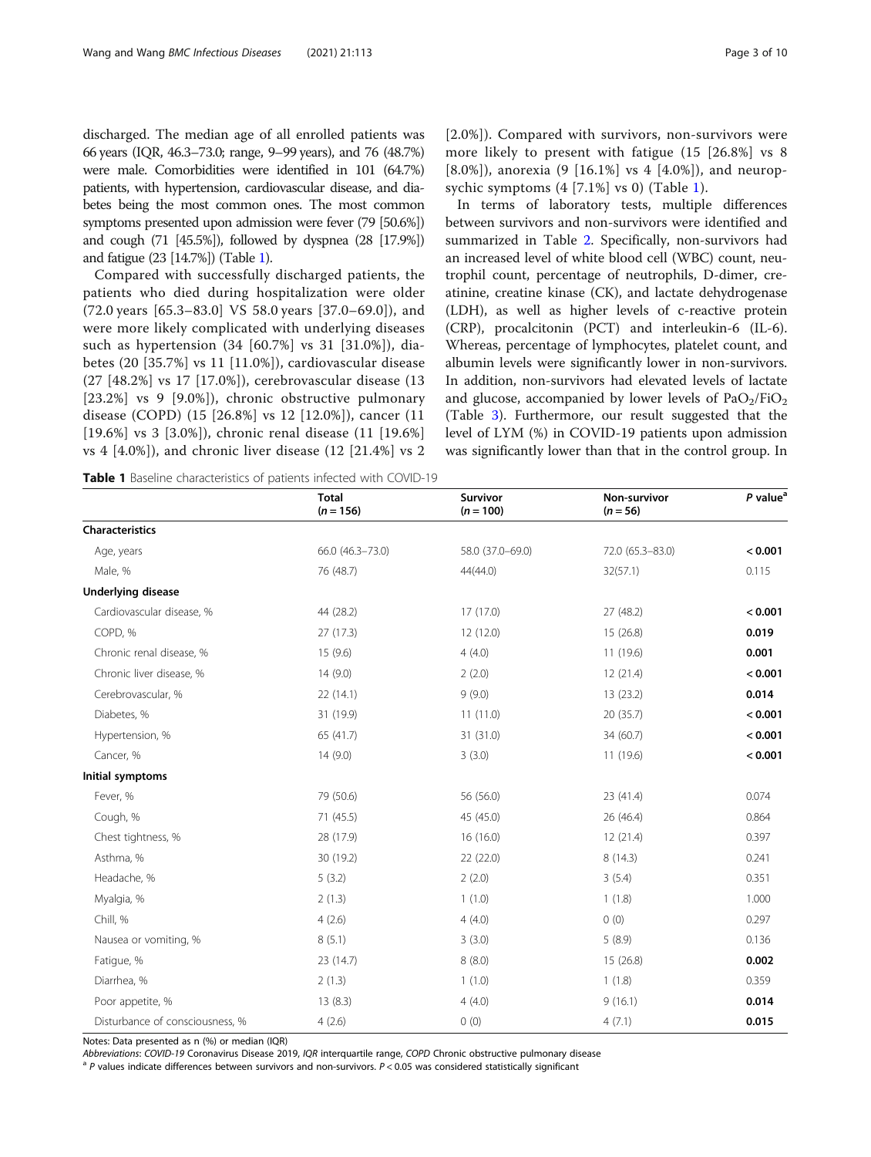discharged. The median age of all enrolled patients was 66 years (IQR, 46.3–73.0; range, 9–99 years), and 76 (48.7%) were male. Comorbidities were identified in 101 (64.7%) patients, with hypertension, cardiovascular disease, and diabetes being the most common ones. The most common symptoms presented upon admission were fever (79 [50.6%]) and cough (71 [45.5%]), followed by dyspnea (28 [17.9%]) and fatigue (23 [14.7%]) (Table 1).

Compared with successfully discharged patients, the patients who died during hospitalization were older (72.0 years [65.3–83.0] VS 58.0 years [37.0–69.0]), and were more likely complicated with underlying diseases such as hypertension (34 [60.7%] vs 31 [31.0%]), diabetes (20 [35.7%] vs 11 [11.0%]), cardiovascular disease (27 [48.2%] vs 17 [17.0%]), cerebrovascular disease (13 [23.2%] vs 9 [9.0%]), chronic obstructive pulmonary disease (COPD) (15 [26.8%] vs 12 [12.0%]), cancer (11 [19.6%] vs 3 [3.0%]), chronic renal disease (11 [19.6%] vs 4 [4.0%]), and chronic liver disease (12 [21.4%] vs 2 [2.0%]). Compared with survivors, non-survivors were more likely to present with fatigue (15 [26.8%] vs 8 [8.0%]), anorexia (9 [16.1%] vs 4 [4.0%]), and neuropsychic symptoms (4 [7.1%] vs 0) (Table 1).

In terms of laboratory tests, multiple differences between survivors and non-survivors were identified and summarized in Table [2](#page-3-0). Specifically, non-survivors had an increased level of white blood cell (WBC) count, neutrophil count, percentage of neutrophils, D-dimer, creatinine, creatine kinase (CK), and lactate dehydrogenase (LDH), as well as higher levels of c-reactive protein (CRP), procalcitonin (PCT) and interleukin-6 (IL-6). Whereas, percentage of lymphocytes, platelet count, and albumin levels were significantly lower in non-survivors. In addition, non-survivors had elevated levels of lactate and glucose, accompanied by lower levels of  $PaO<sub>2</sub>/FiO<sub>2</sub>$ (Table [3](#page-4-0)). Furthermore, our result suggested that the level of LYM (%) in COVID-19 patients upon admission was significantly lower than that in the control group. In

Table 1 Baseline characteristics of patients infected with COVID-19

|                                 | <b>Total</b><br>$(n = 156)$ | Survivor<br>$(n = 100)$ | Non-survivor<br>$(n = 56)$ | $P$ value <sup><math>a</math></sup> |
|---------------------------------|-----------------------------|-------------------------|----------------------------|-------------------------------------|
| <b>Characteristics</b>          |                             |                         |                            |                                     |
| Age, years                      | 66.0 (46.3-73.0)            | 58.0 (37.0-69.0)        | 72.0 (65.3-83.0)           | < 0.001                             |
| Male, %                         | 76 (48.7)                   | 44(44.0)                | 32(57.1)                   | 0.115                               |
| <b>Underlying disease</b>       |                             |                         |                            |                                     |
| Cardiovascular disease, %       | 44 (28.2)                   | 17 (17.0)               | 27 (48.2)                  | < 0.001                             |
| COPD, %                         | 27(17.3)                    | 12 (12.0)               | 15 (26.8)                  | 0.019                               |
| Chronic renal disease, %        | 15(9.6)                     | 4(4.0)                  | 11 (19.6)                  | 0.001                               |
| Chronic liver disease, %        | 14(9.0)                     | 2(2.0)                  | 12(21.4)                   | < 0.001                             |
| Cerebrovascular, %              | 22(14.1)                    | 9(9.0)                  | 13(23.2)                   | 0.014                               |
| Diabetes, %                     | 31 (19.9)                   | 11(11.0)                | 20 (35.7)                  | < 0.001                             |
| Hypertension, %                 | 65 (41.7)                   | 31 (31.0)               | 34 (60.7)                  | < 0.001                             |
| Cancer, %                       | 14(9.0)                     | 3(3.0)                  | 11 (19.6)                  | < 0.001                             |
| Initial symptoms                |                             |                         |                            |                                     |
| Fever, %                        | 79 (50.6)                   | 56 (56.0)               | 23 (41.4)                  | 0.074                               |
| Cough, %                        | 71 (45.5)                   | 45 (45.0)               | 26 (46.4)                  | 0.864                               |
| Chest tightness, %              | 28 (17.9)                   | 16 (16.0)               | 12(21.4)                   | 0.397                               |
| Asthma, %                       | 30 (19.2)                   | 22 (22.0)               | 8(14.3)                    | 0.241                               |
| Headache, %                     | 5(3.2)                      | 2(2.0)                  | 3(5.4)                     | 0.351                               |
| Myalgia, %                      | 2(1.3)                      | 1(1.0)                  | 1(1.8)                     | 1.000                               |
| Chill, %                        | 4(2.6)                      | 4(4.0)                  | 0(0)                       | 0.297                               |
| Nausea or vomiting, %           | 8(5.1)                      | 3(3.0)                  | 5(8.9)                     | 0.136                               |
| Fatigue, %                      | 23 (14.7)                   | 8(8.0)                  | 15(26.8)                   | 0.002                               |
| Diarrhea, %                     | 2(1.3)                      | 1(1.0)                  | 1(1.8)                     | 0.359                               |
| Poor appetite, %                | 13(8.3)                     | 4(4.0)                  | 9(16.1)                    | 0.014                               |
| Disturbance of consciousness, % | 4(2.6)                      | 0(0)                    | 4(7.1)                     | 0.015                               |

Notes: Data presented as n (%) or median (IQR)<br>Abbreviations: COVID-19 Coronavirus Disease 2019, IQR interquartile range, COPD Chronic obstructive pulmonary disease

 $a$  P values indicate differences between survivors and non-survivors.  $P < 0.05$  was considered statistically significant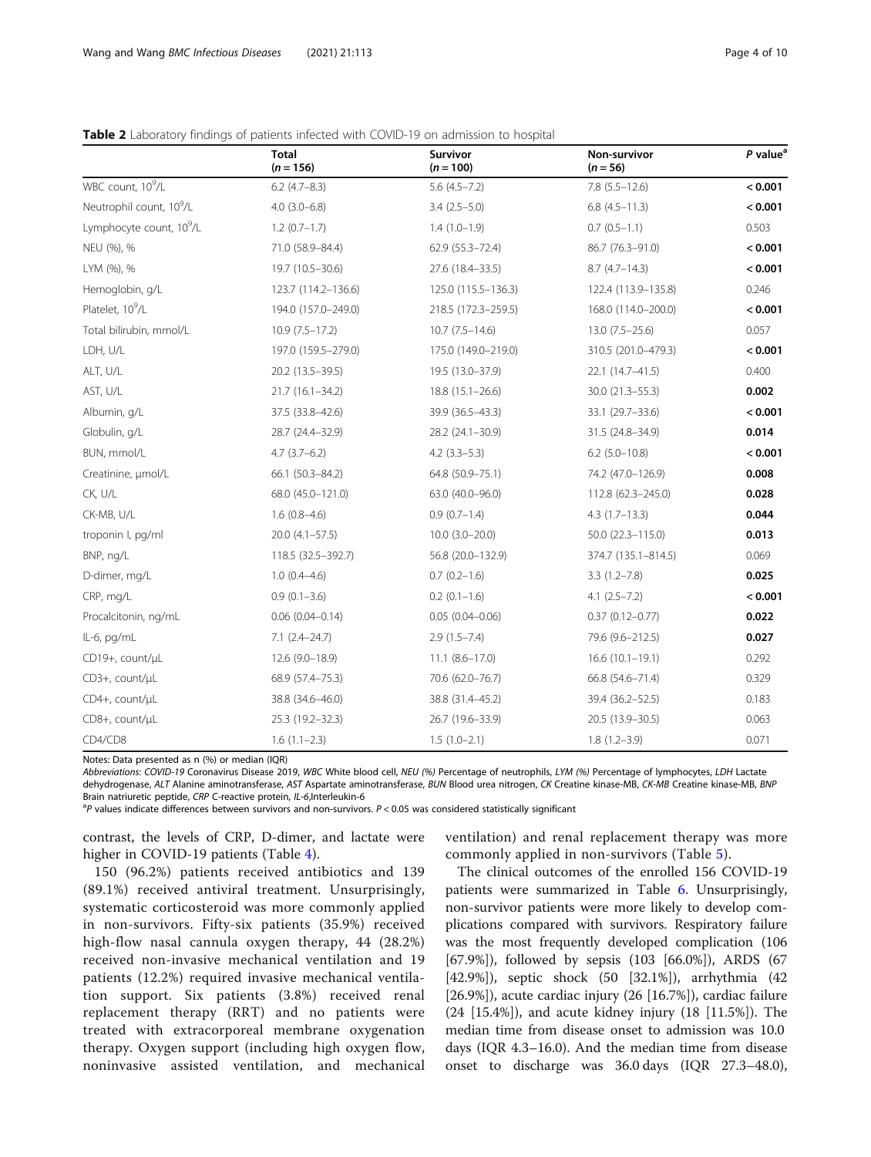# <span id="page-3-0"></span>**Table 2** Laboratory findings of patients infected with COVID-19 on admission to hospital

|                                      | <b>Total</b><br>$(n = 156)$ | Survivor<br>$(n = 100)$ | Non-survivor<br>$(n = 56)$ | $P$ value <sup>a</sup> |
|--------------------------------------|-----------------------------|-------------------------|----------------------------|------------------------|
| WBC count, 10 <sup>9</sup> /L        | $6.2$ (4.7-8.3)             | $5.6(4.5 - 7.2)$        | $7.8(5.5 - 12.6)$          | < 0.001                |
| Neutrophil count, 10 <sup>9</sup> /L | $4.0(3.0-6.8)$              | $3.4(2.5-5.0)$          | $6.8(4.5-11.3)$            | < 0.001                |
| Lymphocyte count, 10 <sup>9</sup> /L | $1.2(0.7-1.7)$              | $1.4(1.0-1.9)$          | $0.7(0.5-1.1)$             | 0.503                  |
| NEU (%), %                           | 71.0 (58.9-84.4)            | 62.9 (55.3-72.4)        | 86.7 (76.3-91.0)           | < 0.001                |
| LYM (%), %                           | 19.7 (10.5-30.6)            | 27.6 (18.4-33.5)        | $8.7(4.7-14.3)$            | < 0.001                |
| Hemoglobin, g/L                      | 123.7 (114.2-136.6)         | 125.0 (115.5-136.3)     | 122.4 (113.9-135.8)        | 0.246                  |
| Platelet, 10 <sup>9</sup> /L         | 194.0 (157.0-249.0)         | 218.5 (172.3-259.5)     | 168.0 (114.0-200.0)        | < 0.001                |
| Total bilirubin, mmol/L              | $10.9(7.5-17.2)$            | $10.7(7.5 - 14.6)$      | $13.0(7.5 - 25.6)$         | 0.057                  |
| LDH, U/L                             | 197.0 (159.5-279.0)         | 175.0 (149.0-219.0)     | 310.5 (201.0-479.3)        | < 0.001                |
| ALT, U/L                             | 20.2 (13.5 - 39.5)          | 19.5 (13.0-37.9)        | 22.1 (14.7-41.5)           | 0.400                  |
| AST, U/L                             | $21.7(16.1 - 34.2)$         | $18.8(15.1 - 26.6)$     | $30.0(21.3 - 55.3)$        | 0.002                  |
| Albumin, q/L                         | 37.5 (33.8-42.6)            | 39.9 (36.5-43.3)        | 33.1 (29.7-33.6)           | < 0.001                |
| Globulin, q/L                        | 28.7 (24.4-32.9)            | 28.2 (24.1-30.9)        | 31.5 (24.8-34.9)           | 0.014                  |
| BUN, mmol/L                          | $4.7(3.7-6.2)$              | $4.2$ $(3.3-5.3)$       | $6.2$ (5.0-10.8)           | < 0.001                |
| Creatinine, µmol/L                   | 66.1 (50.3-84.2)            | 64.8 (50.9-75.1)        | 74.2 (47.0-126.9)          | 0.008                  |
| CK, U/L                              | 68.0 (45.0-121.0)           | 63.0 (40.0-96.0)        | 112.8 (62.3-245.0)         | 0.028                  |
| CK-MB, U/L                           | $1.6(0.8-4.6)$              | $0.9(0.7-1.4)$          | $4.3(1.7-13.3)$            | 0.044                  |
| troponin I, pg/ml                    | $20.0$ $(4.1 - 57.5)$       | $10.0$ $(3.0 - 20.0)$   | 50.0 (22.3-115.0)          | 0.013                  |
| BNP, ng/L                            | 118.5 (32.5-392.7)          | 56.8 (20.0-132.9)       | 374.7 (135.1-814.5)        | 0.069                  |
| D-dimer, mg/L                        | $1.0(0.4-4.6)$              | $0.7(0.2-1.6)$          | $3.3(1.2 - 7.8)$           | 0.025                  |
| CRP, mg/L                            | $0.9(0.1 - 3.6)$            | $0.2$ (0.1-1.6)         | $4.1(2.5 - 7.2)$           | < 0.001                |
| Procalcitonin, ng/mL                 | $0.06(0.04 - 0.14)$         | $0.05(0.04 - 0.06)$     | $0.37(0.12 - 0.77)$        | 0.022                  |
| IL-6, pg/mL                          | $7.1 (2.4 - 24.7)$          | $2.9(1.5 - 7.4)$        | 79.6 (9.6-212.5)           | 0.027                  |
| CD19+, count/µL                      | $12.6(9.0-18.9)$            | $11.1 (8.6 - 17.0)$     | $16.6(10.1-19.1)$          | 0.292                  |
| CD3+, count/µL                       | 68.9 (57.4-75.3)            | 70.6 (62.0-76.7)        | 66.8 (54.6-71.4)           | 0.329                  |
| CD4+, count/µL                       | 38.8 (34.6-46.0)            | 38.8 (31.4-45.2)        | 39.4 (36.2-52.5)           | 0.183                  |
| CD8+, count/µL                       | 25.3 (19.2-32.3)            | 26.7 (19.6-33.9)        | 20.5 (13.9 - 30.5)         | 0.063                  |
| CD4/CD8                              | $1.6(1.1-2.3)$              | $1.5(1.0-2.1)$          | $1.8(1.2 - 3.9)$           | 0.071                  |

Notes: Data presented as n (%) or median (IQR)

Abbreviations: COVID-19 Coronavirus Disease 2019, WBC White blood cell, NEU (%) Percentage of neutrophils, LYM (%) Percentage of lymphocytes, LDH Lactate dehydrogenase, ALT Alanine aminotransferase, AST Aspartate aminotransferase, BUN Blood urea nitrogen, CK Creatine kinase-MB, CK-MB Creatine kinase-MB, BNP Brain natriuretic peptide, CRP C-reactive protein, IL-6, Interleukin-6

 ${}^{a}P$  values indicate differences between survivors and non-survivors.  $P < 0.05$  was considered statistically significant

contrast, the levels of CRP, D-dimer, and lactate were higher in COVID-19 patients (Table [4](#page-4-0)).

ventilation) and renal replacement therapy was more commonly applied in non-survivors (Table [5\)](#page-5-0).

150 (96.2%) patients received antibiotics and 139 (89.1%) received antiviral treatment. Unsurprisingly, systematic corticosteroid was more commonly applied in non-survivors. Fifty-six patients (35.9%) received high-flow nasal cannula oxygen therapy, 44 (28.2%) received non-invasive mechanical ventilation and 19 patients (12.2%) required invasive mechanical ventilation support. Six patients (3.8%) received renal replacement therapy (RRT) and no patients were treated with extracorporeal membrane oxygenation therapy. Oxygen support (including high oxygen flow, noninvasive assisted ventilation, and mechanical

The clinical outcomes of the enrolled 156 COVID-19 patients were summarized in Table [6.](#page-5-0) Unsurprisingly, non-survivor patients were more likely to develop complications compared with survivors. Respiratory failure was the most frequently developed complication (106 [67.9%]), followed by sepsis (103 [66.0%]), ARDS (67 [42.9%]), septic shock (50 [32.1%]), arrhythmia (42 [26.9%]), acute cardiac injury (26 [16.7%]), cardiac failure (24 [15.4%]), and acute kidney injury (18 [11.5%]). The median time from disease onset to admission was 10.0 days (IQR 4.3–16.0). And the median time from disease onset to discharge was 36.0 days (IQR 27.3–48.0),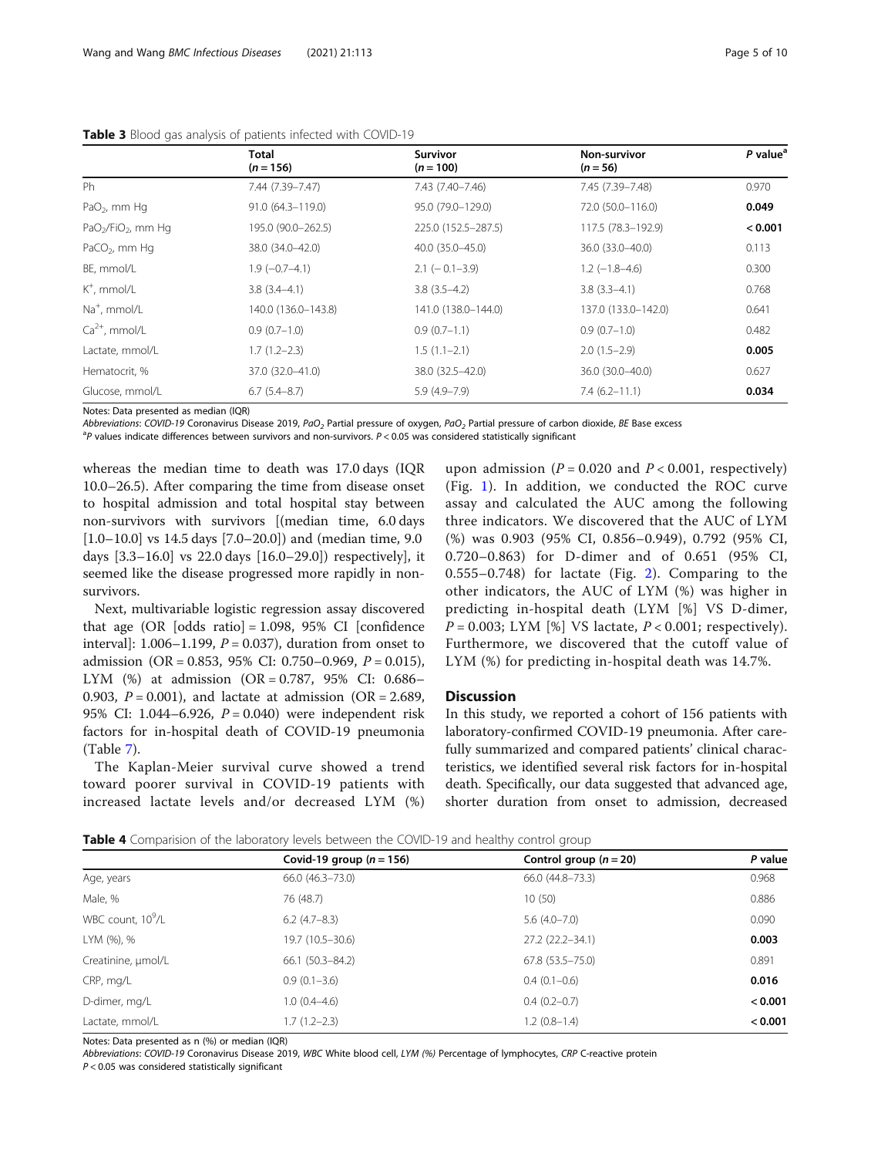|                           | <b>Total</b><br>$(n = 156)$ | <b>Survivor</b><br>$(n = 100)$ | Non-survivor<br>$(n = 56)$ | P value <sup>a</sup> |
|---------------------------|-----------------------------|--------------------------------|----------------------------|----------------------|
| Ph                        | 7.44 (7.39-7.47)            | 7.43 (7.40-7.46)               | 7.45 (7.39-7.48)           | 0.970                |
| PaO <sub>2</sub> , mm Hq  | 91.0 (64.3-119.0)           | 95.0 (79.0-129.0)              | 72.0 (50.0-116.0)          | 0.049                |
| $PaO2/FiO2$ , mm Hq       | 195.0 (90.0-262.5)          | 225.0 (152.5-287.5)            | 117.5 (78.3-192.9)         | < 0.001              |
| PaCO <sub>2</sub> , mm Hq | 38.0 (34.0-42.0)            | 40.0 (35.0-45.0)               | 36.0 (33.0-40.0)           | 0.113                |
| BE, mmol/L                | $1.9(-0.7-4.1)$             | $2.1$ ( $-0.1 - 3.9$ )         | $1.2$ (-1.8-4.6)           | 0.300                |
| $K^+$ , mmol/L            | $3.8(3.4-4.1)$              | $3.8(3.5-4.2)$                 | $3.8(3.3-4.1)$             | 0.768                |
| Na <sup>+</sup> , mmol/L  | 140.0 (136.0-143.8)         | 141.0 (138.0-144.0)            | 137.0 (133.0-142.0)        | 0.641                |
| $Ca2+$ , mmol/L           | $0.9(0.7-1.0)$              | $0.9(0.7-1.1)$                 | $0.9(0.7-1.0)$             | 0.482                |
| Lactate, mmol/L           | $1.7(1.2-2.3)$              | $1.5(1.1-2.1)$                 | $2.0(1.5-2.9)$             | 0.005                |
| Hematocrit, %             | 37.0 (32.0-41.0)            | 38.0 (32.5-42.0)               | 36.0 (30.0-40.0)           | 0.627                |
| Glucose, mmol/L           | $6.7(5.4-8.7)$              | $5.9(4.9 - 7.9)$               | $7.4(6.2 - 11.1)$          | 0.034                |

<span id="page-4-0"></span>Table 3 Blood gas analysis of patients infected with COVID-19

Notes: Data presented as median (IQR)

Abbreviations: COVID-19 Coronavirus Disease 2019, PaO<sub>2</sub> Partial pressure of oxygen, PaO<sub>2</sub> Partial pressure of carbon dioxide, BE Base excess

 $P$  values indicate differences between survivors and non-survivors.  $P < 0.05$  was considered statistically significant

whereas the median time to death was 17.0 days (IQR 10.0–26.5). After comparing the time from disease onset to hospital admission and total hospital stay between non-survivors with survivors [(median time, 6.0 days [1.0–10.0] vs 14.5 days [7.0–20.0]) and (median time, 9.0 days [3.3–16.0] vs 22.0 days [16.0–29.0]) respectively], it seemed like the disease progressed more rapidly in nonsurvivors.

Next, multivariable logistic regression assay discovered that age (OR  $[odds \text{ ratio}] = 1.098, 95\% \text{ CI}$   $[confidence \text{]}$ interval]: 1.006–1.199,  $P = 0.037$ ), duration from onset to admission (OR = 0.853, 95% CI: 0.750–0.969,  $P = 0.015$ ), LYM (%) at admission (OR = 0.787, 95% CI: 0.686– 0.903,  $P = 0.001$ ), and lactate at admission (OR = 2.689, 95% CI: 1.044–6.926,  $P = 0.040$ ) were independent risk factors for in-hospital death of COVID-19 pneumonia (Table [7\)](#page-6-0).

The Kaplan-Meier survival curve showed a trend toward poorer survival in COVID-19 patients with increased lactate levels and/or decreased LYM (%)

upon admission ( $P = 0.020$  and  $P < 0.001$ , respectively) (Fig. [1](#page-6-0)). In addition, we conducted the ROC curve assay and calculated the AUC among the following three indicators. We discovered that the AUC of LYM (%) was 0.903 (95% CI, 0.856–0.949), 0.792 (95% CI, 0.720–0.863) for D-dimer and of 0.651 (95% CI, 0.555–0.748) for lactate (Fig. [2](#page-7-0)). Comparing to the other indicators, the AUC of LYM (%) was higher in predicting in-hospital death (LYM [%] VS D-dimer,  $P = 0.003$ ; LYM [%] VS lactate,  $P < 0.001$ ; respectively). Furthermore, we discovered that the cutoff value of LYM (%) for predicting in-hospital death was 14.7%.

# **Discussion**

In this study, we reported a cohort of 156 patients with laboratory-confirmed COVID-19 pneumonia. After carefully summarized and compared patients' clinical characteristics, we identified several risk factors for in-hospital death. Specifically, our data suggested that advanced age, shorter duration from onset to admission, decreased

| Table 4 Comparision of the laboratory levels between the COVID-19 and healthy control group |  |  |  |  |  |
|---------------------------------------------------------------------------------------------|--|--|--|--|--|
|---------------------------------------------------------------------------------------------|--|--|--|--|--|

| <b>TWHE T</b> COMPanDING OF the RUORIOLY ICYCD DELIVEER the COVID TO and Healthy control group |                            |                          |         |  |  |
|------------------------------------------------------------------------------------------------|----------------------------|--------------------------|---------|--|--|
|                                                                                                | Covid-19 group $(n = 156)$ | Control group $(n = 20)$ | P value |  |  |
| Age, years                                                                                     | 66.0 (46.3-73.0)           | 66.0 (44.8-73.3)         | 0.968   |  |  |
| Male, %                                                                                        | 76 (48.7)                  | 10(50)                   | 0.886   |  |  |
| WBC count, 10 <sup>9</sup> /L                                                                  | $6.2(4.7-8.3)$             | $5.6(4.0 - 7.0)$         | 0.090   |  |  |
| LYM (%), %                                                                                     | 19.7 (10.5-30.6)           | 27.2 (22.2-34.1)         | 0.003   |  |  |
| Creatinine, µmol/L                                                                             | $66.1(50.3 - 84.2)$        | $67.8$ $(53.5 - 75.0)$   | 0.891   |  |  |
| CRP, mg/L                                                                                      | $0.9(0.1-3.6)$             | $0.4(0.1-0.6)$           | 0.016   |  |  |
| D-dimer, mg/L                                                                                  | $1.0(0.4-4.6)$             | $0.4(0.2-0.7)$           | < 0.001 |  |  |
| Lactate, mmol/L                                                                                | 1.7 (1.2–2.3)              | $1.2(0.8-1.4)$           | < 0.001 |  |  |
|                                                                                                |                            |                          |         |  |  |

Notes: Data presented as n (%) or median (IQR)

Abbreviations: COVID-19 Coronavirus Disease 2019, WBC White blood cell, LYM (%) Percentage of lymphocytes, CRP C-reactive protein

 $P < 0.05$  was considered statistically significant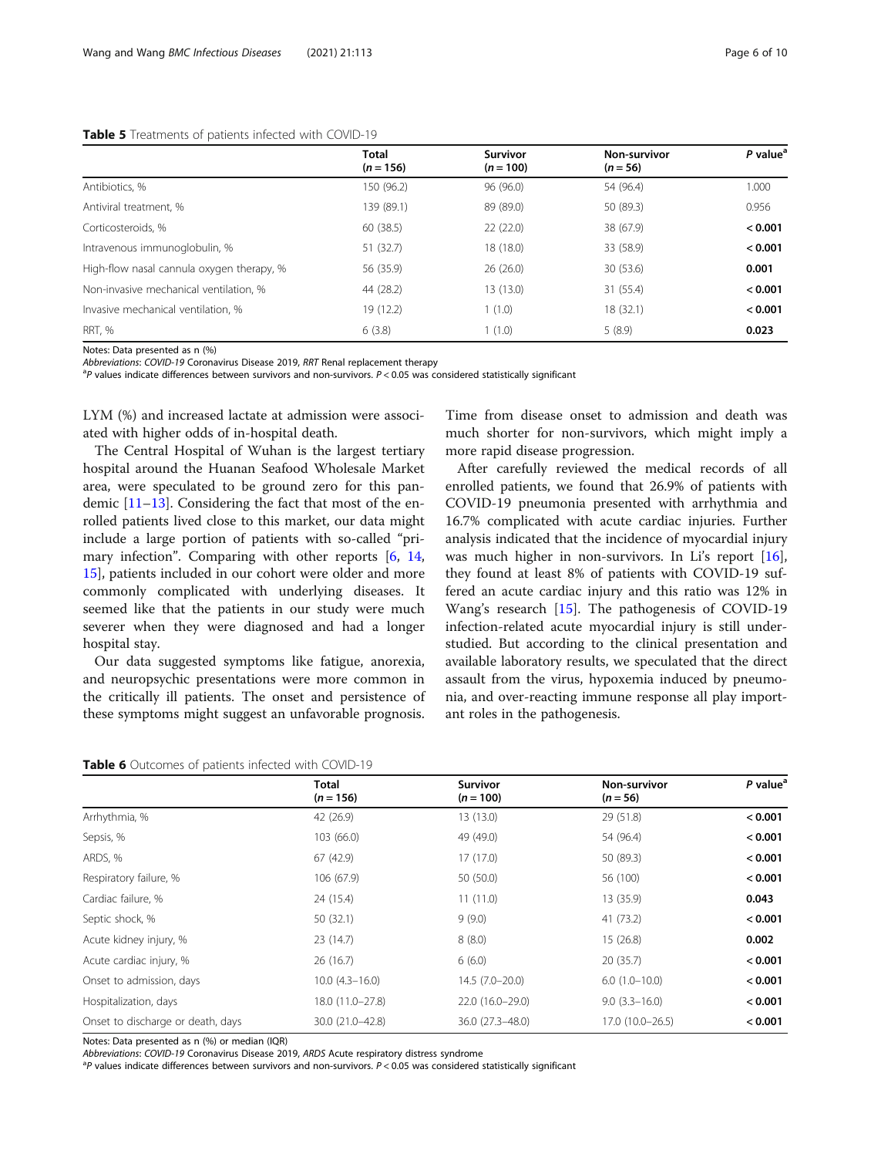## <span id="page-5-0"></span>Table 5 Treatments of patients infected with COVID-19

|  |  | ÷ |  |
|--|--|---|--|
|  |  |   |  |
|  |  |   |  |
|  |  |   |  |
|  |  |   |  |

|                                           | <b>Total</b><br>$(n = 156)$ | <b>Survivor</b><br>$(n = 100)$ | Non-survivor<br>$(n = 56)$ | P value <sup>a</sup> |
|-------------------------------------------|-----------------------------|--------------------------------|----------------------------|----------------------|
| Antibiotics, %                            | 150 (96.2)                  | 96 (96.0)                      | 54 (96.4)                  | 1.000                |
| Antiviral treatment, %                    | 139 (89.1)                  | 89 (89.0)                      | 50 (89.3)                  | 0.956                |
| Corticosteroids, %                        | 60(38.5)                    | 22(22.0)                       | 38 (67.9)                  | < 0.001              |
| Intravenous immunoglobulin, %             | 51 (32.7)                   | 18 (18.0)                      | 33 (58.9)                  | < 0.001              |
| High-flow nasal cannula oxygen therapy, % | 56 (35.9)                   | 26(26.0)                       | 30 (53.6)                  | 0.001                |
| Non-invasive mechanical ventilation, %    | 44 (28.2)                   | 13(13.0)                       | 31 (55.4)                  | < 0.001              |
| Invasive mechanical ventilation, %        | 19 (12.2)                   | 1(1.0)                         | 18 (32.1)                  | < 0.001              |
| RRT. %                                    | 6(3.8)                      | 1(1.0)                         | 5(8.9)                     | 0.023                |

Notes: Data presented as n (%)

Abbreviations: COVID-19 Coronavirus Disease 2019, RRT Renal replacement therapy

 $P$  values indicate differences between survivors and non-survivors. P < 0.05 was considered statistically significant

LYM (%) and increased lactate at admission were associated with higher odds of in-hospital death.

The Central Hospital of Wuhan is the largest tertiary hospital around the Huanan Seafood Wholesale Market area, were speculated to be ground zero for this pandemic [[11](#page-9-0)–[13](#page-9-0)]. Considering the fact that most of the enrolled patients lived close to this market, our data might include a large portion of patients with so-called "primary infection". Comparing with other reports [[6](#page-8-0), [14](#page-9-0), [15\]](#page-9-0), patients included in our cohort were older and more commonly complicated with underlying diseases. It seemed like that the patients in our study were much severer when they were diagnosed and had a longer hospital stay.

Our data suggested symptoms like fatigue, anorexia, and neuropsychic presentations were more common in the critically ill patients. The onset and persistence of these symptoms might suggest an unfavorable prognosis.

Time from disease onset to admission and death was much shorter for non-survivors, which might imply a more rapid disease progression.

After carefully reviewed the medical records of all enrolled patients, we found that 26.9% of patients with COVID-19 pneumonia presented with arrhythmia and 16.7% complicated with acute cardiac injuries. Further analysis indicated that the incidence of myocardial injury was much higher in non-survivors. In Li's report [\[16](#page-9-0)], they found at least 8% of patients with COVID-19 suffered an acute cardiac injury and this ratio was 12% in Wang's research [\[15\]](#page-9-0). The pathogenesis of COVID-19 infection-related acute myocardial injury is still understudied. But according to the clinical presentation and available laboratory results, we speculated that the direct assault from the virus, hypoxemia induced by pneumonia, and over-reacting immune response all play important roles in the pathogenesis.

|                                   | Total<br>$(n = 156)$ | <b>Survivor</b><br>$(n = 100)$ | Non-survivor<br>$(n = 56)$ | P value <sup>a</sup> |
|-----------------------------------|----------------------|--------------------------------|----------------------------|----------------------|
| Arrhythmia, %                     | 42 (26.9)            | 13(13.0)                       | 29 (51.8)                  | < 0.001              |
| Sepsis, %                         | 103 (66.0)           | 49 (49.0)                      | 54 (96.4)                  | < 0.001              |
| ARDS, %                           | 67 (42.9)            | 17(17.0)                       | 50 (89.3)                  | < 0.001              |
| Respiratory failure, %            | 106 (67.9)           | 50 (50.0)                      | 56 (100)                   | < 0.001              |
| Cardiac failure, %                | 24 (15.4)            | 11(11.0)                       | 13 (35.9)                  | 0.043                |
| Septic shock, %                   | 50(32.1)             | 9(9.0)                         | 41 (73.2)                  | < 0.001              |
| Acute kidney injury, %            | 23(14.7)             | 8(8.0)                         | 15(26.8)                   | 0.002                |
| Acute cardiac injury, %           | 26(16.7)             | 6(6.0)                         | 20(35.7)                   | < 0.001              |
| Onset to admission, days          | $10.0(4.3 - 16.0)$   | $14.5(7.0-20.0)$               | $6.0(1.0-10.0)$            | < 0.001              |
| Hospitalization, days             | 18.0 (11.0-27.8)     | 22.0 (16.0-29.0)               | $9.0(3.3 - 16.0)$          | < 0.001              |
| Onset to discharge or death, days | 30.0 (21.0-42.8)     | 36.0 (27.3-48.0)               | 17.0 (10.0-26.5)           | < 0.001              |

Notes: Data presented as n (%) or median (IQR)

Abbreviations: COVID-19 Coronavirus Disease 2019, ARDS Acute respiratory distress syndrome

 $P$  values indicate differences between survivors and non-survivors.  $P < 0.05$  was considered statistically significant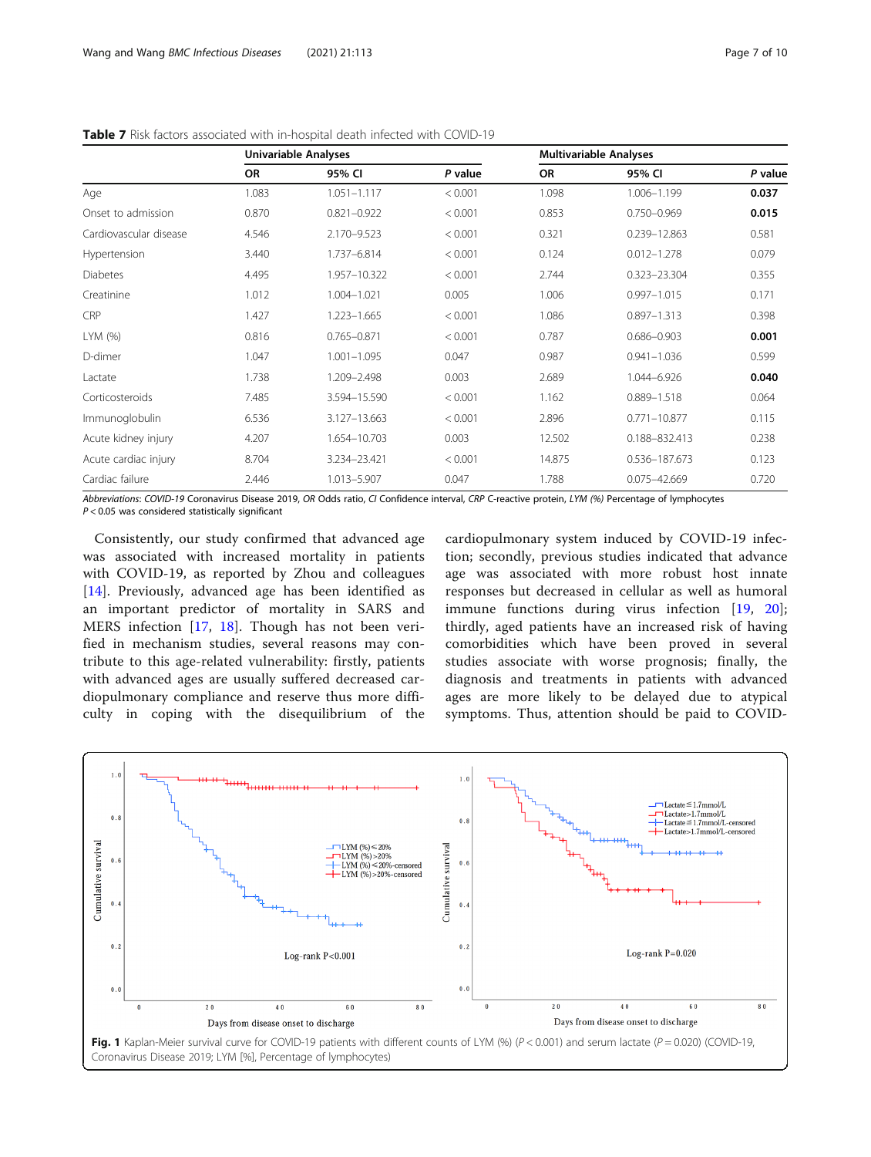|                        | <b>Univariable Analyses</b> |                 |         | <b>Multivariable Analyses</b> |                  |         |
|------------------------|-----------------------------|-----------------|---------|-------------------------------|------------------|---------|
|                        | <b>OR</b>                   | 95% CI          | P value | <b>OR</b>                     | 95% CI           | P value |
| Age                    | 1.083                       | $1.051 - 1.117$ | < 0.001 | 1.098                         | 1.006-1.199      | 0.037   |
| Onset to admission     | 0.870                       | $0.821 - 0.922$ | < 0.001 | 0.853                         | $0.750 - 0.969$  | 0.015   |
| Cardiovascular disease | 4.546                       | 2.170-9.523     | < 0.001 | 0.321                         | 0.239-12.863     | 0.581   |
| Hypertension           | 3.440                       | 1.737-6.814     | < 0.001 | 0.124                         | $0.012 - 1.278$  | 0.079   |
| <b>Diabetes</b>        | 4.495                       | 1.957-10.322    | < 0.001 | 2.744                         | $0.323 - 23.304$ | 0.355   |
| Creatinine             | 1.012                       | 1.004-1.021     | 0.005   | 1.006                         | $0.997 - 1.015$  | 0.171   |
| <b>CRP</b>             | 1.427                       | 1.223-1.665     | < 0.001 | 1.086                         | $0.897 - 1.313$  | 0.398   |
| LYM (%)                | 0.816                       | $0.765 - 0.871$ | < 0.001 | 0.787                         | $0.686 - 0.903$  | 0.001   |
| D-dimer                | 1.047                       | $1.001 - 1.095$ | 0.047   | 0.987                         | $0.941 - 1.036$  | 0.599   |
| Lactate                | 1.738                       | 1.209-2.498     | 0.003   | 2.689                         | 1.044-6.926      | 0.040   |
| Corticosteroids        | 7.485                       | 3.594-15.590    | < 0.001 | 1.162                         | $0.889 - 1.518$  | 0.064   |
| Immunoglobulin         | 6.536                       | 3.127-13.663    | < 0.001 | 2.896                         | $0.771 - 10.877$ | 0.115   |
| Acute kidney injury    | 4.207                       | 1.654-10.703    | 0.003   | 12.502                        | 0.188-832.413    | 0.238   |
| Acute cardiac injury   | 8.704                       | 3.234-23.421    | < 0.001 | 14.875                        | 0.536-187.673    | 0.123   |
| Cardiac failure        | 2.446                       | 1.013-5.907     | 0.047   | 1.788                         | $0.075 - 42.669$ | 0.720   |

<span id="page-6-0"></span>Table 7 Risk factors associated with in-hospital death infected with COVID-19

Abbreviations: COVID-19 Coronavirus Disease 2019, OR Odds ratio, CI Confidence interval, CRP C-reactive protein, LYM (%) Percentage of lymphocytes  $P < 0.05$  was considered statistically significant

Consistently, our study confirmed that advanced age was associated with increased mortality in patients with COVID-19, as reported by Zhou and colleagues [[14\]](#page-9-0). Previously, advanced age has been identified as an important predictor of mortality in SARS and MERS infection [[17,](#page-9-0) [18](#page-9-0)]. Though has not been verified in mechanism studies, several reasons may contribute to this age-related vulnerability: firstly, patients with advanced ages are usually suffered decreased cardiopulmonary compliance and reserve thus more difficulty in coping with the disequilibrium of the

cardiopulmonary system induced by COVID-19 infection; secondly, previous studies indicated that advance age was associated with more robust host innate responses but decreased in cellular as well as humoral immune functions during virus infection [\[19](#page-9-0), [20](#page-9-0)]; thirdly, aged patients have an increased risk of having comorbidities which have been proved in several studies associate with worse prognosis; finally, the diagnosis and treatments in patients with advanced ages are more likely to be delayed due to atypical symptoms. Thus, attention should be paid to COVID-

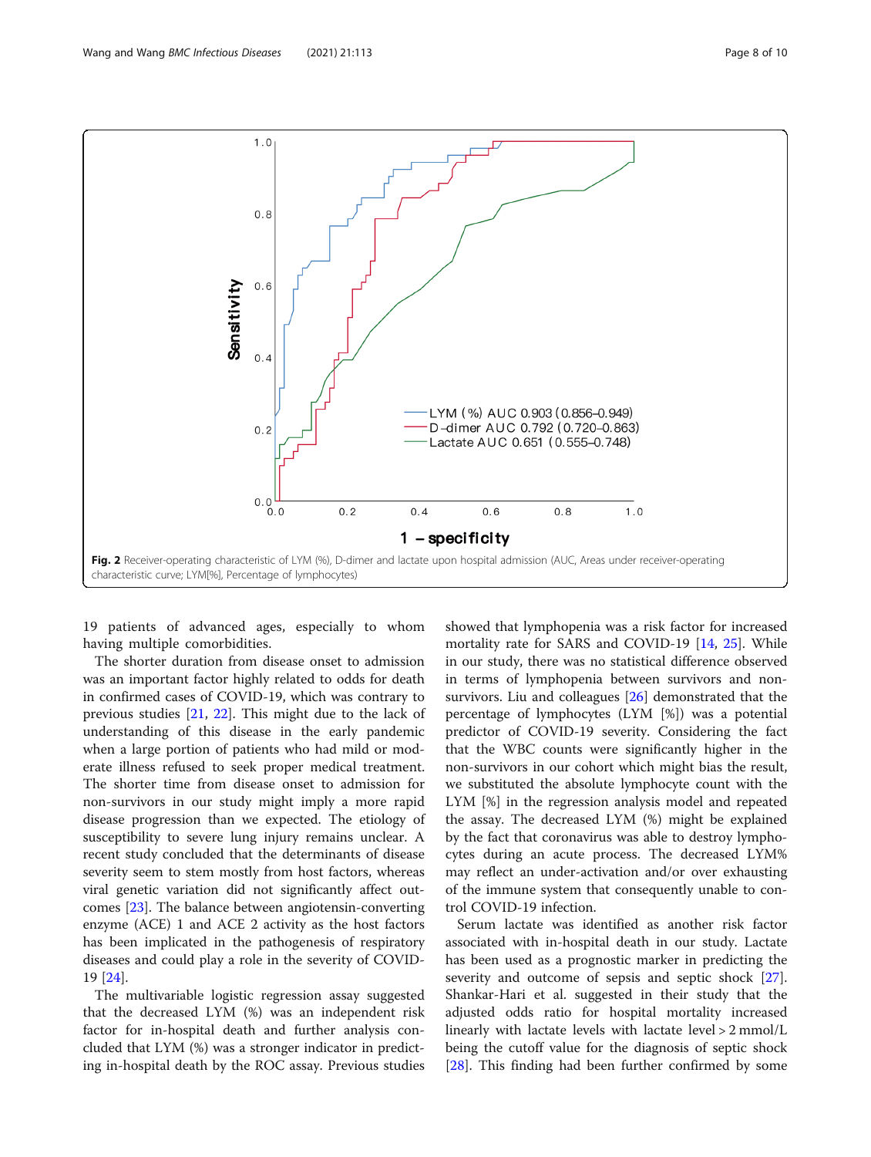19 patients of advanced ages, especially to whom having multiple comorbidities.

The shorter duration from disease onset to admission was an important factor highly related to odds for death in confirmed cases of COVID-19, which was contrary to previous studies [\[21](#page-9-0), [22\]](#page-9-0). This might due to the lack of understanding of this disease in the early pandemic when a large portion of patients who had mild or moderate illness refused to seek proper medical treatment. The shorter time from disease onset to admission for non-survivors in our study might imply a more rapid disease progression than we expected. The etiology of susceptibility to severe lung injury remains unclear. A recent study concluded that the determinants of disease severity seem to stem mostly from host factors, whereas viral genetic variation did not significantly affect outcomes [[23\]](#page-9-0). The balance between angiotensin-converting enzyme (ACE) 1 and ACE 2 activity as the host factors has been implicated in the pathogenesis of respiratory diseases and could play a role in the severity of COVID-19 [[24](#page-9-0)].

The multivariable logistic regression assay suggested that the decreased LYM (%) was an independent risk factor for in-hospital death and further analysis concluded that LYM (%) was a stronger indicator in predicting in-hospital death by the ROC assay. Previous studies

showed that lymphopenia was a risk factor for increased mortality rate for SARS and COVID-19 [[14,](#page-9-0) [25\]](#page-9-0). While in our study, there was no statistical difference observed in terms of lymphopenia between survivors and nonsurvivors. Liu and colleagues [\[26](#page-9-0)] demonstrated that the percentage of lymphocytes (LYM [%]) was a potential predictor of COVID-19 severity. Considering the fact that the WBC counts were significantly higher in the non-survivors in our cohort which might bias the result, we substituted the absolute lymphocyte count with the LYM [%] in the regression analysis model and repeated the assay. The decreased LYM (%) might be explained by the fact that coronavirus was able to destroy lymphocytes during an acute process. The decreased LYM% may reflect an under-activation and/or over exhausting of the immune system that consequently unable to control COVID-19 infection.

Serum lactate was identified as another risk factor associated with in-hospital death in our study. Lactate has been used as a prognostic marker in predicting the severity and outcome of sepsis and septic shock [\[27](#page-9-0)]. Shankar-Hari et al. suggested in their study that the adjusted odds ratio for hospital mortality increased linearly with lactate levels with lactate level > 2 mmol/L being the cutoff value for the diagnosis of septic shock [[28\]](#page-9-0). This finding had been further confirmed by some

<span id="page-7-0"></span>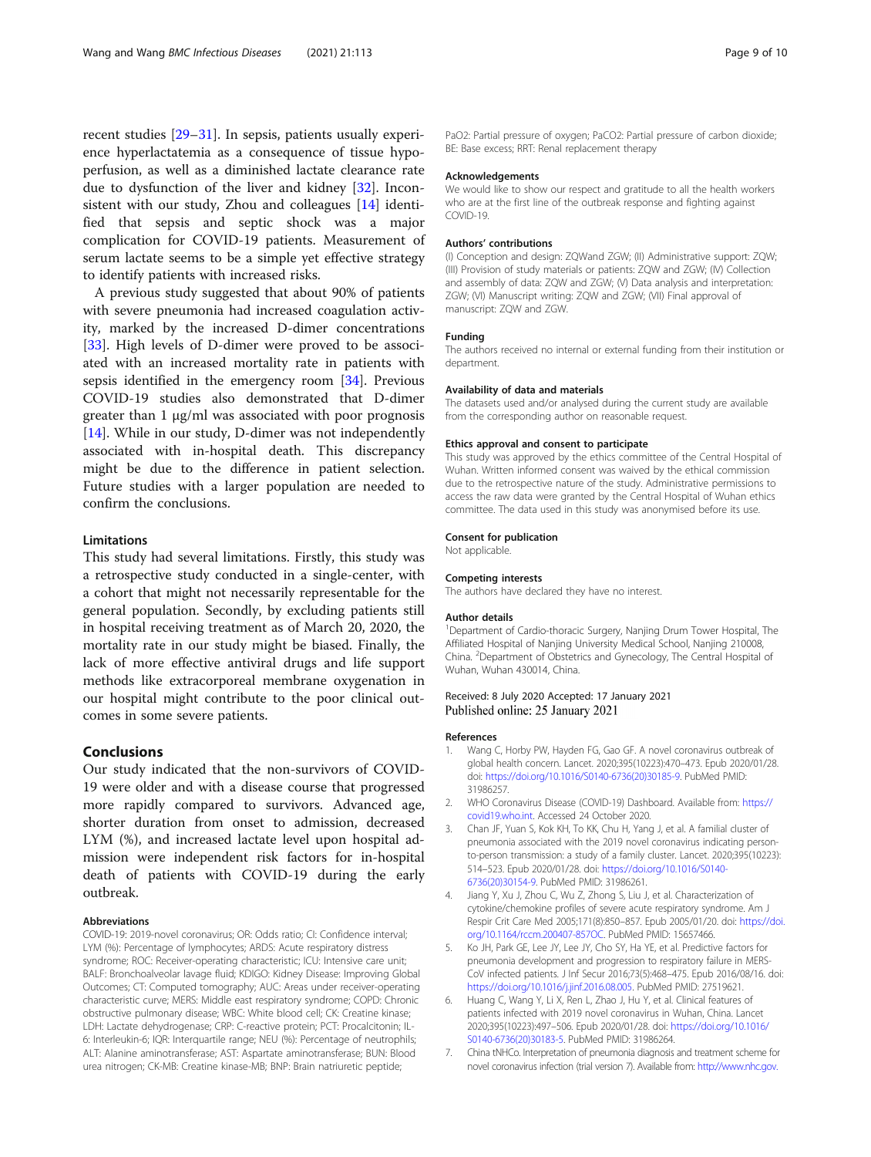<span id="page-8-0"></span>recent studies [\[29](#page-9-0)–[31\]](#page-9-0). In sepsis, patients usually experience hyperlactatemia as a consequence of tissue hypoperfusion, as well as a diminished lactate clearance rate due to dysfunction of the liver and kidney [\[32\]](#page-9-0). Inconsistent with our study, Zhou and colleagues [[14\]](#page-9-0) identified that sepsis and septic shock was a major complication for COVID-19 patients. Measurement of serum lactate seems to be a simple yet effective strategy to identify patients with increased risks.

A previous study suggested that about 90% of patients with severe pneumonia had increased coagulation activity, marked by the increased D-dimer concentrations [[33\]](#page-9-0). High levels of D-dimer were proved to be associated with an increased mortality rate in patients with sepsis identified in the emergency room [[34\]](#page-9-0). Previous COVID-19 studies also demonstrated that D-dimer greater than 1 μg/ml was associated with poor prognosis [[14\]](#page-9-0). While in our study, D-dimer was not independently associated with in-hospital death. This discrepancy might be due to the difference in patient selection. Future studies with a larger population are needed to confirm the conclusions.

# Limitations

This study had several limitations. Firstly, this study was a retrospective study conducted in a single-center, with a cohort that might not necessarily representable for the general population. Secondly, by excluding patients still in hospital receiving treatment as of March 20, 2020, the mortality rate in our study might be biased. Finally, the lack of more effective antiviral drugs and life support methods like extracorporeal membrane oxygenation in our hospital might contribute to the poor clinical outcomes in some severe patients.

# Conclusions

Our study indicated that the non-survivors of COVID-19 were older and with a disease course that progressed more rapidly compared to survivors. Advanced age, shorter duration from onset to admission, decreased LYM (%), and increased lactate level upon hospital admission were independent risk factors for in-hospital death of patients with COVID-19 during the early outbreak.

#### Abbreviations

COVID-19: 2019-novel coronavirus; OR: Odds ratio; CI: Confidence interval; LYM (%): Percentage of lymphocytes; ARDS: Acute respiratory distress syndrome; ROC: Receiver-operating characteristic; ICU: Intensive care unit; BALF: Bronchoalveolar lavage fluid; KDIGO: Kidney Disease: Improving Global Outcomes; CT: Computed tomography; AUC: Areas under receiver-operating characteristic curve; MERS: Middle east respiratory syndrome; COPD: Chronic obstructive pulmonary disease; WBC: White blood cell; CK: Creatine kinase; LDH: Lactate dehydrogenase; CRP: C-reactive protein; PCT: Procalcitonin; IL-6: Interleukin-6; IQR: Interquartile range; NEU (%): Percentage of neutrophils; ALT: Alanine aminotransferase; AST: Aspartate aminotransferase; BUN: Blood urea nitrogen; CK-MB: Creatine kinase-MB; BNP: Brain natriuretic peptide;

PaO2: Partial pressure of oxygen; PaCO2: Partial pressure of carbon dioxide; BE: Base excess; RRT: Renal replacement therapy

#### Acknowledgements

We would like to show our respect and gratitude to all the health workers who are at the first line of the outbreak response and fighting against COVID-19.

#### Authors' contributions

(I) Conception and design: ZQWand ZGW; (II) Administrative support: ZQW; (III) Provision of study materials or patients: ZQW and ZGW; (IV) Collection and assembly of data: ZQW and ZGW; (V) Data analysis and interpretation: ZGW; (VI) Manuscript writing: ZQW and ZGW; (VII) Final approval of manuscript: ZQW and ZGW.

#### Funding

The authors received no internal or external funding from their institution or department.

#### Availability of data and materials

The datasets used and/or analysed during the current study are available from the corresponding author on reasonable request.

#### Ethics approval and consent to participate

This study was approved by the ethics committee of the Central Hospital of Wuhan. Written informed consent was waived by the ethical commission due to the retrospective nature of the study. Administrative permissions to access the raw data were granted by the Central Hospital of Wuhan ethics committee. The data used in this study was anonymised before its use.

#### Consent for publication

Not applicable.

#### Competing interests

The authors have declared they have no interest.

#### Author details

<sup>1</sup>Department of Cardio-thoracic Surgery, Nanjing Drum Tower Hospital, The Affiliated Hospital of Nanjing University Medical School, Nanjing 210008, China. <sup>2</sup> Department of Obstetrics and Gynecology, The Central Hospital of Wuhan, Wuhan 430014, China.

### Received: 8 July 2020 Accepted: 17 January 2021 Published online: 25 January 2021

#### References

- 1. Wang C, Horby PW, Hayden FG, Gao GF. A novel coronavirus outbreak of global health concern. Lancet. 2020;395(10223):470–473. Epub 2020/01/28. doi: [https://doi.org/10.1016/S0140-6736\(20\)30185-9](https://doi.org/10.1016/S0140-6736(20)30185-9). PubMed PMID: 31986257.
- 2. WHO Coronavirus Disease (COVID-19) Dashboard. Available from: [https://](https://covid19.who.int) [covid19.who.int](https://covid19.who.int). Accessed 24 October 2020.
- 3. Chan JF, Yuan S, Kok KH, To KK, Chu H, Yang J, et al. A familial cluster of pneumonia associated with the 2019 novel coronavirus indicating personto-person transmission: a study of a family cluster. Lancet. 2020;395(10223): 514–523. Epub 2020/01/28. doi: [https://doi.org/10.1016/S0140-](https://doi.org/10.1016/S0140-6736(20)30154-9) [6736\(20\)30154-9](https://doi.org/10.1016/S0140-6736(20)30154-9). PubMed PMID: 31986261.
- 4. Jiang Y, Xu J, Zhou C, Wu Z, Zhong S, Liu J, et al. Characterization of cytokine/chemokine profiles of severe acute respiratory syndrome. Am J Respir Crit Care Med 2005;171(8):850–857. Epub 2005/01/20. doi: [https://doi.](https://doi.org/10.1164/rccm.200407-857OC) [org/10.1164/rccm.200407-857OC.](https://doi.org/10.1164/rccm.200407-857OC) PubMed PMID: 15657466.
- 5. Ko JH, Park GE, Lee JY, Lee JY, Cho SY, Ha YE, et al. Predictive factors for pneumonia development and progression to respiratory failure in MERS-CoV infected patients. J Inf Secur 2016;73(5):468–475. Epub 2016/08/16. doi: [https://doi.org/10.1016/j.jinf.2016.08.005.](https://doi.org/10.1016/j.jinf.2016.08.005) PubMed PMID: 27519621.
- 6. Huang C, Wang Y, Li X, Ren L, Zhao J, Hu Y, et al. Clinical features of patients infected with 2019 novel coronavirus in Wuhan, China. Lancet 2020;395(10223):497–506. Epub 2020/01/28. doi: [https://doi.org/10.1016/](https://doi.org/10.1016/S0140-6736(20)30183-5) [S0140-6736\(20\)30183-5](https://doi.org/10.1016/S0140-6736(20)30183-5). PubMed PMID: 31986264.
- 7. China tNHCo. Interpretation of pneumonia diagnosis and treatment scheme for novel coronavirus infection (trial version 7). Available from: [http://www.nhc.gov.](http://www.nhc.gov.cn/yzygj/s7652m/202003/a31191442e29474b98bfed5579d5af95.shtml)